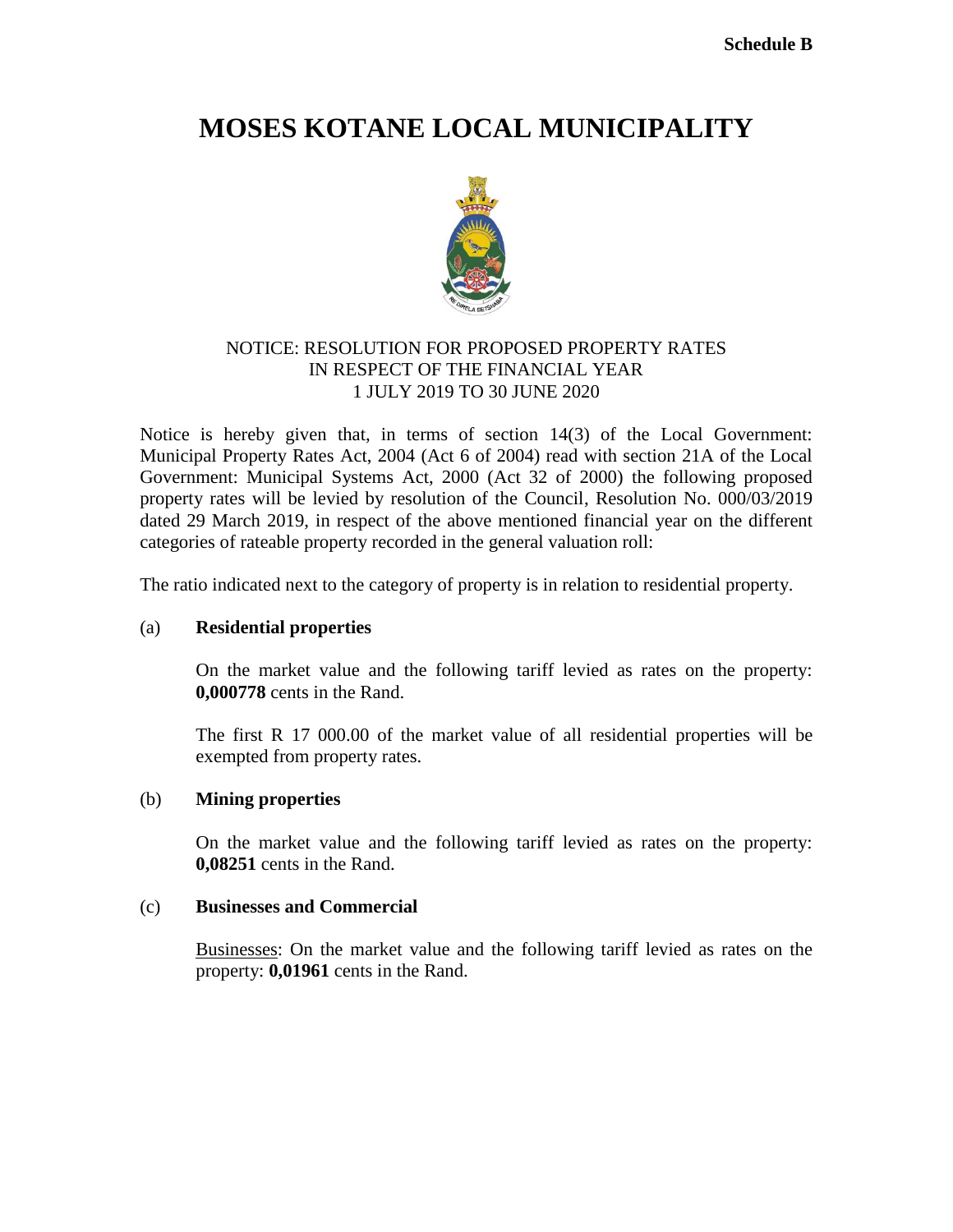# **MOSES KOTANE LOCAL MUNICIPALITY**



# NOTICE: RESOLUTION FOR PROPOSED PROPERTY RATES IN RESPECT OF THE FINANCIAL YEAR 1 JULY 2019 TO 30 JUNE 2020

Notice is hereby given that, in terms of section 14(3) of the Local Government: Municipal Property Rates Act, 2004 (Act 6 of 2004) read with section 21A of the Local Government: Municipal Systems Act, 2000 (Act 32 of 2000) the following proposed property rates will be levied by resolution of the Council, Resolution No. 000/03/2019 dated 29 March 2019, in respect of the above mentioned financial year on the different categories of rateable property recorded in the general valuation roll:

The ratio indicated next to the category of property is in relation to residential property.

# (a) **Residential properties**

On the market value and the following tariff levied as rates on the property: **0,000778** cents in the Rand.

The first R 17 000.00 of the market value of all residential properties will be exempted from property rates.

# (b) **Mining properties**

On the market value and the following tariff levied as rates on the property: **0,08251** cents in the Rand.

# (c) **Businesses and Commercial**

Businesses: On the market value and the following tariff levied as rates on the property: **0,01961** cents in the Rand.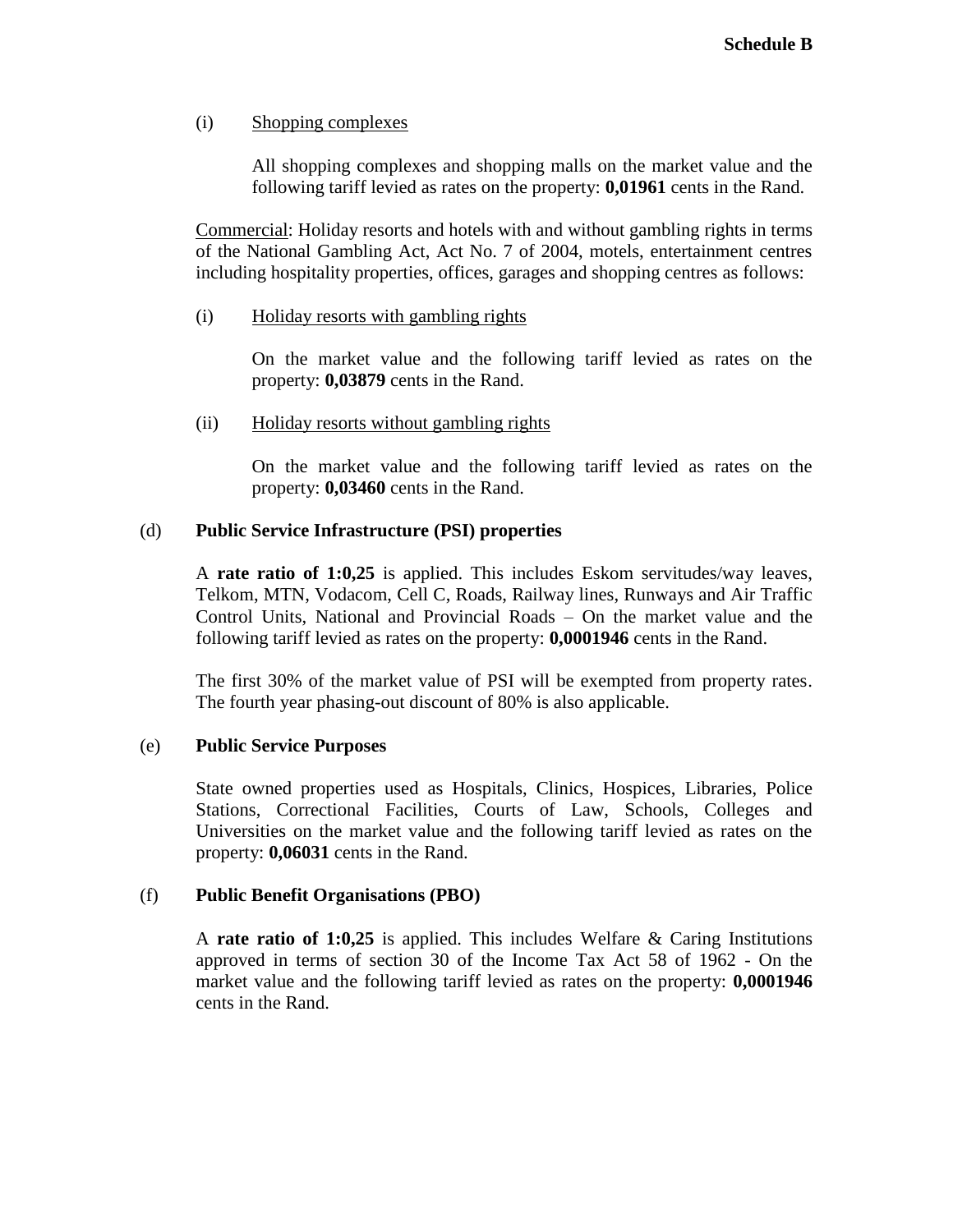# (i) Shopping complexes

All shopping complexes and shopping malls on the market value and the following tariff levied as rates on the property: **0,01961** cents in the Rand.

Commercial: Holiday resorts and hotels with and without gambling rights in terms of the National Gambling Act, Act No. 7 of 2004, motels, entertainment centres including hospitality properties, offices, garages and shopping centres as follows:

## (i) Holiday resorts with gambling rights

On the market value and the following tariff levied as rates on the property: **0,03879** cents in the Rand.

## (ii) Holiday resorts without gambling rights

On the market value and the following tariff levied as rates on the property: **0,03460** cents in the Rand.

## (d) **Public Service Infrastructure (PSI) properties**

A **rate ratio of 1:0,25** is applied. This includes Eskom servitudes/way leaves, Telkom, MTN, Vodacom, Cell C, Roads, Railway lines, Runways and Air Traffic Control Units, National and Provincial Roads – On the market value and the following tariff levied as rates on the property: **0,0001946** cents in the Rand.

The first 30% of the market value of PSI will be exempted from property rates. The fourth year phasing-out discount of 80% is also applicable.

#### (e) **Public Service Purposes**

State owned properties used as Hospitals, Clinics, Hospices, Libraries, Police Stations, Correctional Facilities, Courts of Law, Schools, Colleges and Universities on the market value and the following tariff levied as rates on the property: **0,06031** cents in the Rand.

#### (f) **Public Benefit Organisations (PBO)**

A **rate ratio of 1:0,25** is applied. This includes Welfare & Caring Institutions approved in terms of section 30 of the Income Tax Act 58 of 1962 - On the market value and the following tariff levied as rates on the property: **0,0001946** cents in the Rand.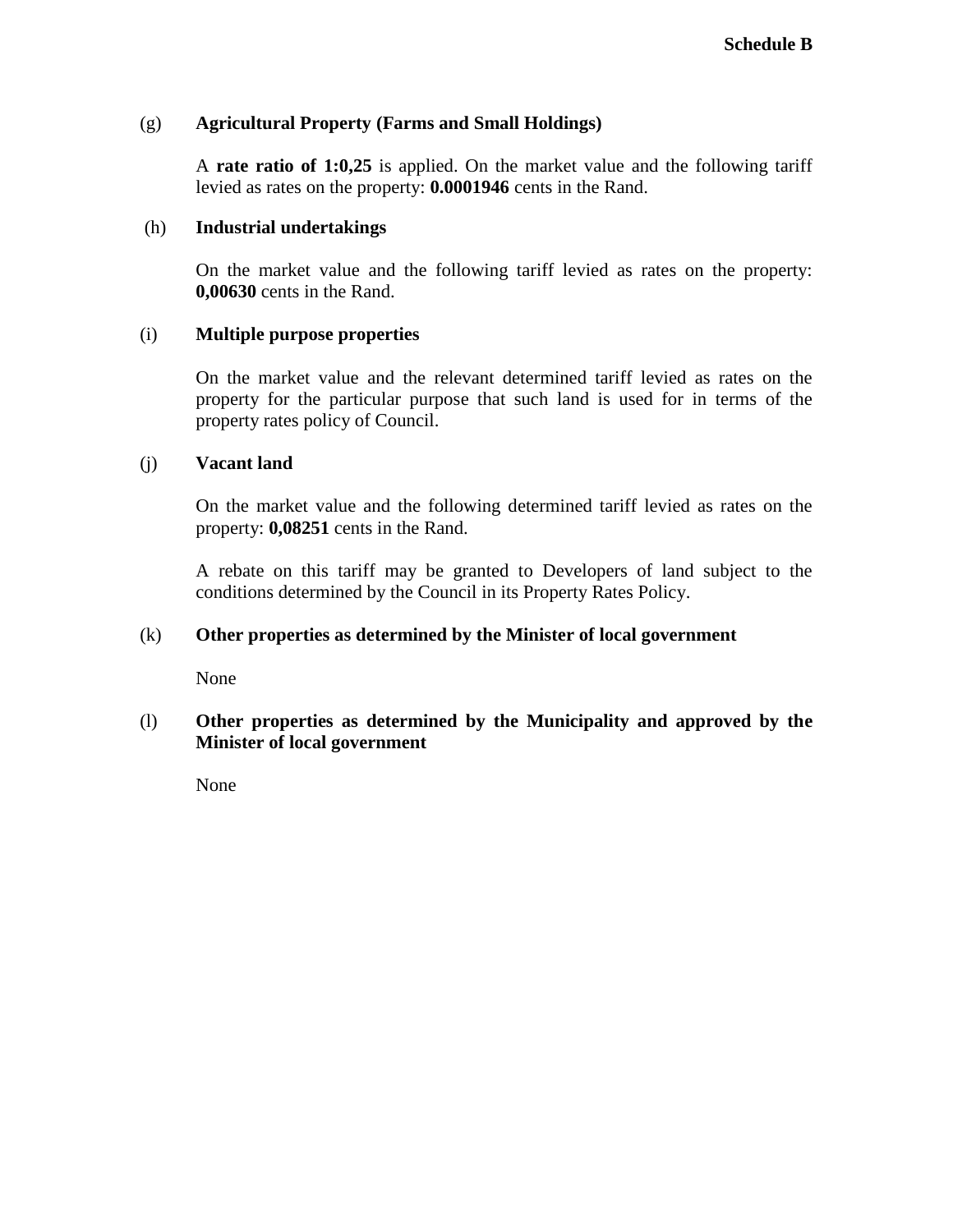## (g) **Agricultural Property (Farms and Small Holdings)**

A **rate ratio of 1:0,25** is applied. On the market value and the following tariff levied as rates on the property: **0.0001946** cents in the Rand.

### (h) **Industrial undertakings**

On the market value and the following tariff levied as rates on the property: **0,00630** cents in the Rand.

## (i) **Multiple purpose properties**

On the market value and the relevant determined tariff levied as rates on the property for the particular purpose that such land is used for in terms of the property rates policy of Council.

## (j) **Vacant land**

On the market value and the following determined tariff levied as rates on the property: **0,08251** cents in the Rand.

A rebate on this tariff may be granted to Developers of land subject to the conditions determined by the Council in its Property Rates Policy.

# (k) **Other properties as determined by the Minister of local government**

None

# (l) **Other properties as determined by the Municipality and approved by the Minister of local government**

None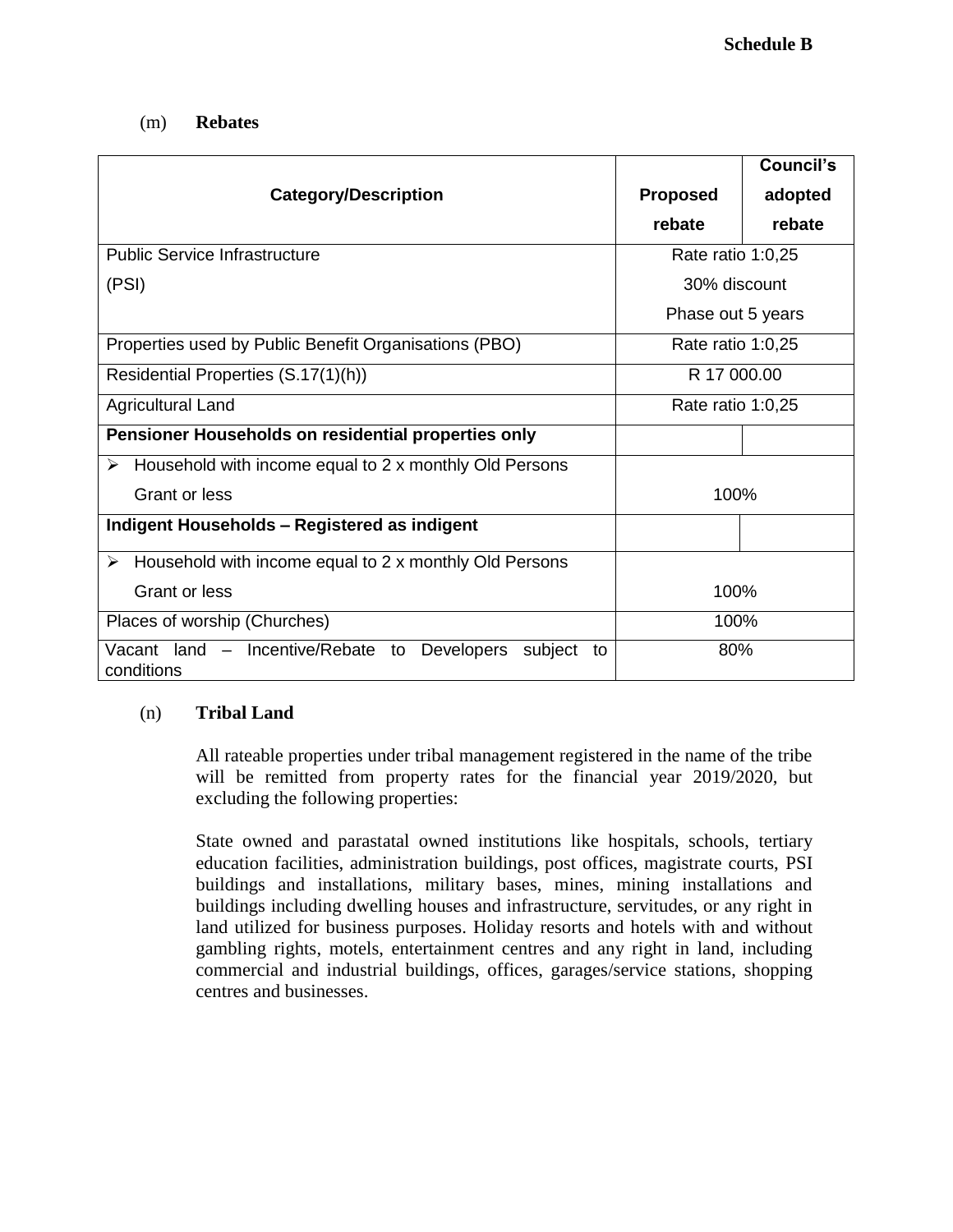# (m) **Rebates**

|                                                                             |                   | Council's |
|-----------------------------------------------------------------------------|-------------------|-----------|
| <b>Category/Description</b>                                                 | <b>Proposed</b>   | adopted   |
|                                                                             | rebate            | rebate    |
| <b>Public Service Infrastructure</b>                                        | Rate ratio 1:0,25 |           |
| (PSI)                                                                       | 30% discount      |           |
|                                                                             | Phase out 5 years |           |
| Properties used by Public Benefit Organisations (PBO)                       | Rate ratio 1:0,25 |           |
| Residential Properties (S.17(1)(h))                                         | R 17 000.00       |           |
| <b>Agricultural Land</b>                                                    | Rate ratio 1:0,25 |           |
| Pensioner Households on residential properties only                         |                   |           |
| Household with income equal to 2 x monthly Old Persons<br>➤                 |                   |           |
| Grant or less                                                               | 100%              |           |
| Indigent Households - Registered as indigent                                |                   |           |
| Household with income equal to 2 x monthly Old Persons<br>≻                 |                   |           |
| <b>Grant or less</b>                                                        | 100%              |           |
| Places of worship (Churches)                                                | 100%              |           |
| Vacant land - Incentive/Rebate to Developers<br>subject<br>to<br>conditions | 80%               |           |

# (n) **Tribal Land**

All rateable properties under tribal management registered in the name of the tribe will be remitted from property rates for the financial year 2019/2020, but excluding the following properties:

State owned and parastatal owned institutions like hospitals, schools, tertiary education facilities, administration buildings, post offices, magistrate courts, PSI buildings and installations, military bases, mines, mining installations and buildings including dwelling houses and infrastructure, servitudes, or any right in land utilized for business purposes. Holiday resorts and hotels with and without gambling rights, motels, entertainment centres and any right in land, including commercial and industrial buildings, offices, garages/service stations, shopping centres and businesses.